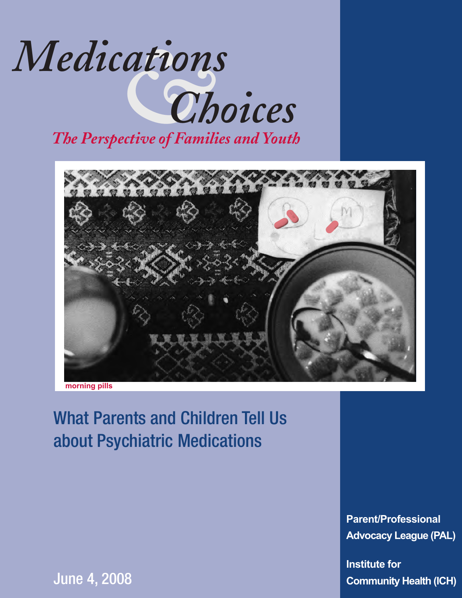



**morning pills**

## What Parents and Children Tell Us about Psychiatric Medications

**Parent/Professional Advocacy League (PAL)**

**Institute for Community Health (ICH)**

June 4, 2008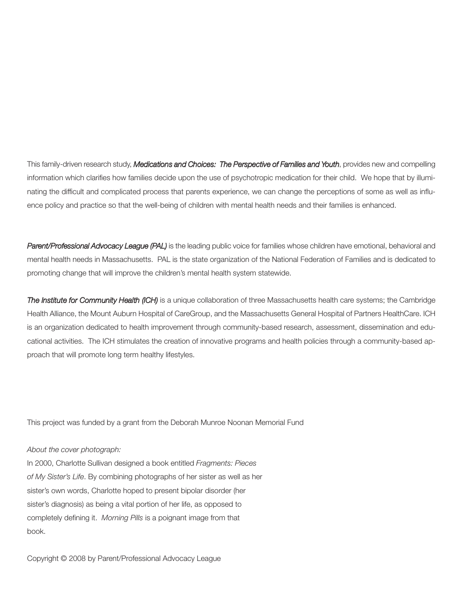This family-driven research study, *Medications and Choices: The Perspective of Families and Youth*, provides new and compelling information which clarifies how families decide upon the use of psychotropic medication for their child. We hope that by illuminating the difficult and complicated process that parents experience, we can change the perceptions of some as well as influence policy and practice so that the well-being of children with mental health needs and their families is enhanced.

*Parent/Professional Advocacy League (PAL)* is the leading public voice for families whose children have emotional, behavioral and mental health needs in Massachusetts. PAL is the state organization of the National Federation of Families and is dedicated to promoting change that will improve the children's mental health system statewide.

*The Institute for Community Health (ICH)* is a unique collaboration of three Massachusetts health care systems; the Cambridge Health Alliance, the Mount Auburn Hospital of CareGroup, and the Massachusetts General Hospital of Partners HealthCare. ICH is an organization dedicated to health improvement through community-based research, assessment, dissemination and educational activities. The ICH stimulates the creation of innovative programs and health policies through a community-based approach that will promote long term healthy lifestyles.

This project was funded by a grant from the Deborah Munroe Noonan Memorial Fund

#### *About the cover photograph:*

In 2000, Charlotte Sullivan designed a book entitled *Fragments: Pieces of My Sister's Life*. By combining photographs of her sister as well as her sister's own words, Charlotte hoped to present bipolar disorder (her sister's diagnosis) as being a vital portion of her life, as opposed to completely defining it. *Morning Pills* is a poignant image from that book.

Copyright © 2008 by Parent/Professional Advocacy League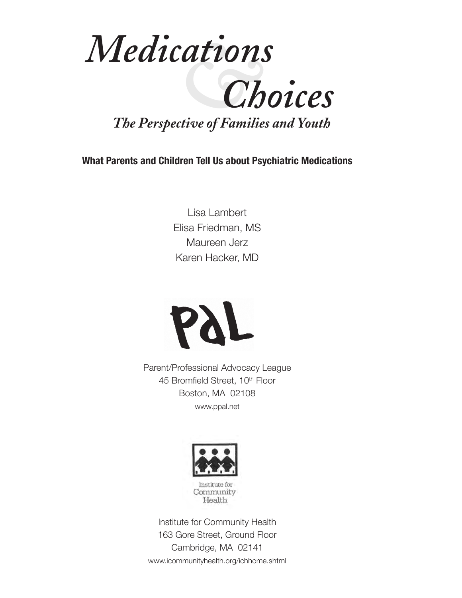

**What Parents and Children Tell Us about Psychiatric Medications**

Lisa Lambert Elisa Friedman, MS Maureen Jerz Karen Hacker, MD



Parent/Professional Advocacy League 45 Bromfield Street, 10<sup>th</sup> Floor Boston, MA 02108 www.ppal.net



Institute for Community Health 163 Gore Street, Ground Floor Cambridge, MA 02141 www.icommunityhealth.org/ichhome.shtml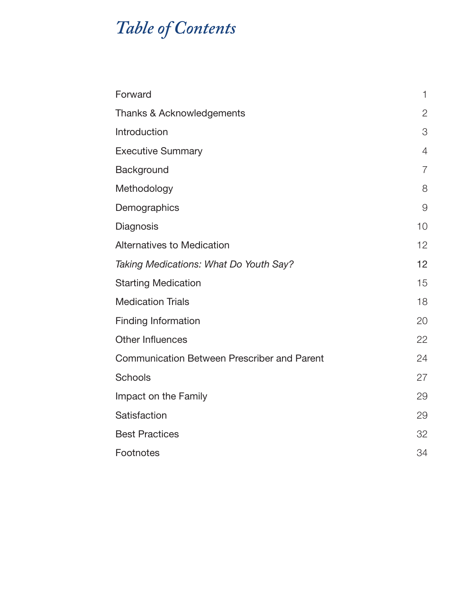## *Table of Contents*

| Forward                                            | $\mathbf{1}$   |
|----------------------------------------------------|----------------|
| Thanks & Acknowledgements                          | $\overline{2}$ |
| Introduction                                       | 3              |
| <b>Executive Summary</b>                           | 4              |
| Background                                         | $\overline{7}$ |
| Methodology                                        | 8              |
| Demographics                                       | $\Theta$       |
| Diagnosis                                          | 10             |
| <b>Alternatives to Medication</b>                  | 12             |
| Taking Medications: What Do Youth Say?             | 12             |
| <b>Starting Medication</b>                         | 15             |
| <b>Medication Trials</b>                           | 18             |
| <b>Finding Information</b>                         | 20             |
| <b>Other Influences</b>                            | 22             |
| <b>Communication Between Prescriber and Parent</b> | 24             |
| <b>Schools</b>                                     | 27             |
| Impact on the Family                               | 29             |
| Satisfaction                                       | 29             |
| <b>Best Practices</b>                              | 32             |
| Footnotes                                          | 34             |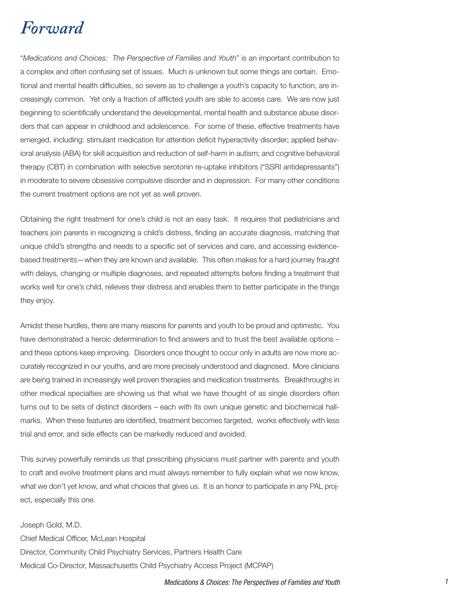### *Forward*

"*Medications and Choices: The Perspective of Families and Youth*" is an important contribution to a complex and often confusing set of issues. Much is unknown but some things are certain. Emotional and mental health difficulties, so severe as to challenge a youth's capacity to function, are increasingly common. Yet only a fraction of afflicted youth are able to access care. We are now just beginning to scientifically understand the developmental, mental health and substance abuse disorders that can appear in childhood and adolescence. For some of these, effective treatments have emerged, including: stimulant medication for attention deficit hyperactivity disorder; applied behavioral analysis (ABA) for skill acquisition and reduction of self-harm in autism; and cognitive behavioral therapy (CBT) in combination with selective serotonin re-uptake inhibitors ("SSRI antidepressants") in moderate to severe obsessive compulsive disorder and in depression. For many other conditions the current treatment options are not yet as well proven.

Obtaining the right treatment for one's child is not an easy task. It requires that pediatricians and teachers join parents in recognizing a child's distress, finding an accurate diagnosis, matching that unique child's strengths and needs to a specific set of services and care, and accessing evidencebased treatments—when they are known and available. This often makes for a hard journey fraught with delays, changing or multiple diagnoses, and repeated attempts before finding a treatment that works well for one's child, relieves their distress and enables them to better participate in the things they enjoy.

Amidst these hurdles, there are many reasons for parents and youth to be proud and optimistic. You have demonstrated a heroic determination to find answers and to trust the best available options – and these options keep improving. Disorders once thought to occur only in adults are now more accurately recognized in our youths, and are more precisely understood and diagnosed. More clinicians are being trained in increasingly well proven therapies and medication treatments. Breakthroughs in other medical specialties are showing us that what we have thought of as single disorders often turns out to be sets of distinct disorders – each with its own unique genetic and biochemical hallmarks. When these features are identified, treatment becomes targeted, works effectively with less trial and error, and side effects can be markedly reduced and avoided.

This survey powerfully reminds us that prescribing physicians must partner with parents and youth to craft and evolve treatment plans and must always remember to fully explain what we now know, what we don't yet know, and what choices that gives us. It is an honor to participate in any PAL project, especially this one.

Joseph Gold, M.D. Chief Medical Officer, McLean Hospital Director, Community Child Psychiatry Services, Partners Health Care Medical Co-Director, Massachusetts Child Psychiatry Access Project (MCPAP)

#### Medications & Choices: The Perspectives of Families and Youth 1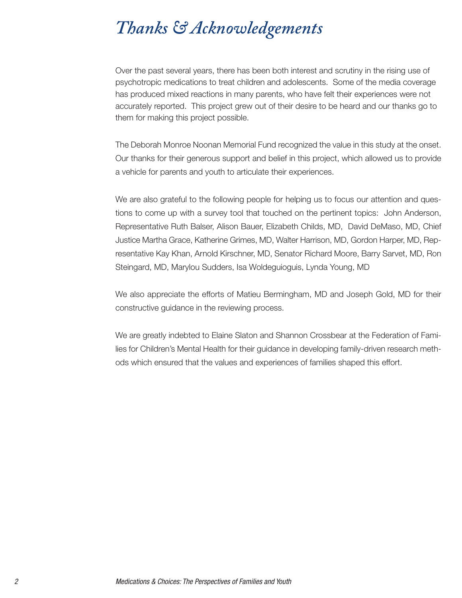### *Thanks & Acknowledgements*

Over the past several years, there has been both interest and scrutiny in the rising use of psychotropic medications to treat children and adolescents. Some of the media coverage has produced mixed reactions in many parents, who have felt their experiences were not accurately reported. This project grew out of their desire to be heard and our thanks go to them for making this project possible.

The Deborah Monroe Noonan Memorial Fund recognized the value in this study at the onset. Our thanks for their generous support and belief in this project, which allowed us to provide a vehicle for parents and youth to articulate their experiences.

We are also grateful to the following people for helping us to focus our attention and questions to come up with a survey tool that touched on the pertinent topics: John Anderson, Representative Ruth Balser, Alison Bauer, Elizabeth Childs, MD, David DeMaso, MD, Chief Justice Martha Grace, Katherine Grimes, MD, Walter Harrison, MD, Gordon Harper, MD, Representative Kay Khan, Arnold Kirschner, MD, Senator Richard Moore, Barry Sarvet, MD, Ron Steingard, MD, Marylou Sudders, Isa Woldeguioguis, Lynda Young, MD

We also appreciate the efforts of Matieu Bermingham, MD and Joseph Gold, MD for their constructive guidance in the reviewing process.

We are greatly indebted to Elaine Slaton and Shannon Crossbear at the Federation of Families for Children's Mental Health for their guidance in developing family-driven research methods which ensured that the values and experiences of families shaped this effort.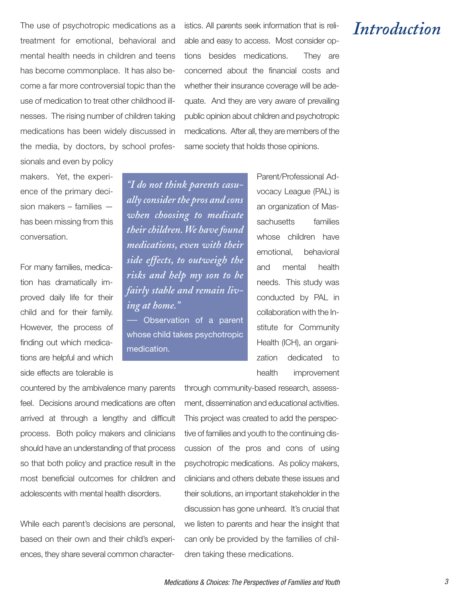treatment for emotional, behavioral and mental health needs in children and teens has become commonplace. It has also become a far more controversial topic than the use of medication to treat other childhood illnesses. The rising number of children taking medications has been widely discussed in the media, by doctors, by school profes-

The use of psychotropic medications as a cistics. All parents seek information that is reli-<br>tractment for exactional chaberiaral and able and seevite assesse. Mest expeller application able and easy to access. Most consider options besides medications. They are concerned about the financial costs and whether their insurance coverage will be adequate. And they are very aware of prevailing public opinion about children and psychotropic medications. After all, they are members of the same society that holds those opinions.

sionals and even by policy makers. Yet, the experience of the primary decision makers – families has been missing from this conversation.

For many families, medication has dramatically improved daily life for their child and for their family. However, the process of finding out which medications are helpful and which side effects are tolerable is

*"I do not think parents casually considerthe pros and cons when choosing to medicate theirchildren.We havefound medications, even with their side effects, to outweigh the risks and help my son to be fairly stable and remain living at home."*

Observation of a parent whose child takes psychotropic medication.

Parent/Professional Advocacy League (PAL) is an organization of Massachusetts families whose children have emotional, behavioral and mental health needs. This study was conducted by PAL in collaboration with the Institute for Community Health (ICH), an organization dedicated to health improvement

countered by the ambivalence many parents feel. Decisions around medications are often arrived at through a lengthy and difficult process. Both policy makers and clinicians should have an understanding of that process so that both policy and practice result in the most beneficial outcomes for children and adolescents with mental health disorders.

While each parent's decisions are personal, based on their own and their child's experiences, they share several common characterthrough community-based research, assessment, dissemination and educational activities. This project was created to add the perspective of families and youth to the continuing discussion of the pros and cons of using psychotropic medications. As policy makers, clinicians and others debate these issues and their solutions, an important stakeholder in the discussion has gone unheard. It's crucial that we listen to parents and hear the insight that can only be provided by the families of children taking these medications.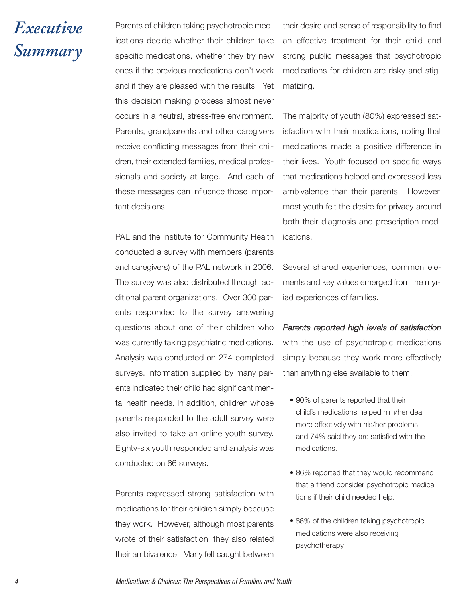## *Executive Summary*

Parents of children taking psychotropic medications decide whether their children take specific medications, whether they try new ones if the previous medications don't work and if they are pleased with the results. Yet this decision making process almost never occurs in a neutral, stress-free environment. Parents, grandparents and other caregivers receive conflicting messages from their children, their extended families, medical professionals and society at large. And each of these messages can influence those important decisions.

PAL and the Institute for Community Health conducted a survey with members (parents and caregivers) of the PAL network in 2006. The survey was also distributed through additional parent organizations. Over 300 parents responded to the survey answering questions about one of their children who was currently taking psychiatric medications. Analysis was conducted on 274 completed surveys. Information supplied by many parents indicated their child had significant mental health needs. In addition, children whose parents responded to the adult survey were also invited to take an online youth survey. Eighty-six youth responded and analysis was conducted on 66 surveys.

Parents expressed strong satisfaction with medications for their children simply because they work. However, although most parents wrote of their satisfaction, they also related their ambivalence. Many felt caught between

their desire and sense of responsibility to find an effective treatment for their child and strong public messages that psychotropic medications for children are risky and stigmatizing.

The majority of youth (80%) expressed satisfaction with their medications, noting that medications made a positive difference in their lives. Youth focused on specific ways that medications helped and expressed less ambivalence than their parents. However, most youth felt the desire for privacy around both their diagnosis and prescription medications.

Several shared experiences, common elements and key values emerged from the myriad experiences of families.

#### *Parents reported high levels of satisfaction*

with the use of psychotropic medications simply because they work more effectively than anything else available to them.

- 90% of parents reported that their child's medications helped him/her deal more effectively with his/her problems and 74% said they are satisfied with the medications.
- 86% reported that they would recommend that a friend consider psychotropic medica tions if their child needed help.
- 86% of the children taking psychotropic medications were also receiving psychotherapy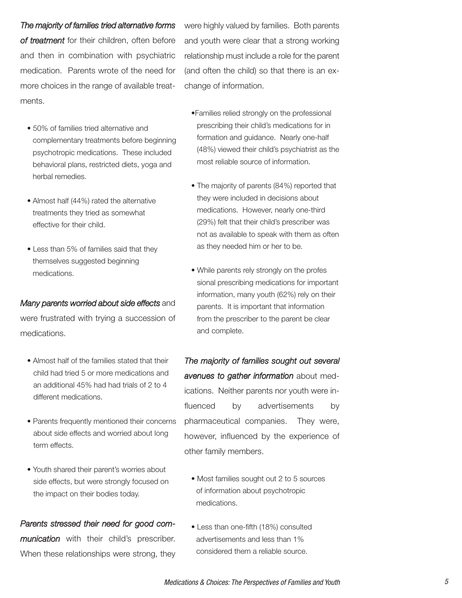#### *The majority of families tried alternative forms*

*of treatment* for their children, often before and then in combination with psychiatric medication. Parents wrote of the need for more choices in the range of available treatments.

- 50% of families tried alternative and complementary treatments before beginning psychotropic medications. These included behavioral plans, restricted diets, yoga and herbal remedies.
- Almost half (44%) rated the alternative treatments they tried as somewhat effective for their child.
- Less than 5% of families said that they themselves suggested beginning medications.

#### *Many parents worried about side effects* and

were frustrated with trying a succession of medications.

- Almost half of the families stated that their child had tried 5 or more medications and an additional 45% had had trials of 2 to 4 different medications.
- Parents frequently mentioned their concerns about side effects and worried about long term effects.
- Youth shared their parent's worries about side effects, but were strongly focused on the impact on their bodies today.

### *Parents stressed their need for good com-*

*munication* with their child's prescriber. When these relationships were strong, they were highly valued by families. Both parents and youth were clear that a strong working relationship must include a role for the parent (and often the child) so that there is an exchange of information.

- •Families relied strongly on the professional prescribing their child's medications for in formation and guidance. Nearly one-half (48%) viewed their child's psychiatrist as the most reliable source of information.
- The majority of parents (84%) reported that they were included in decisions about medications. However, nearly one-third (29%) felt that their child's prescriber was not as available to speak with them as often as they needed him or her to be.
- While parents rely strongly on the profes sional prescribing medications for important information, many youth (62%) rely on their parents. It is important that information from the prescriber to the parent be clear and complete.

*The majority of families sought out several avenues to gather information* about medications. Neither parents nor youth were influenced by advertisements by pharmaceutical companies. They were, however, influenced by the experience of other family members.

- Most families sought out 2 to 5 sources of information about psychotropic medications.
- Less than one-fifth (18%) consulted advertisements and less than 1% considered them a reliable source.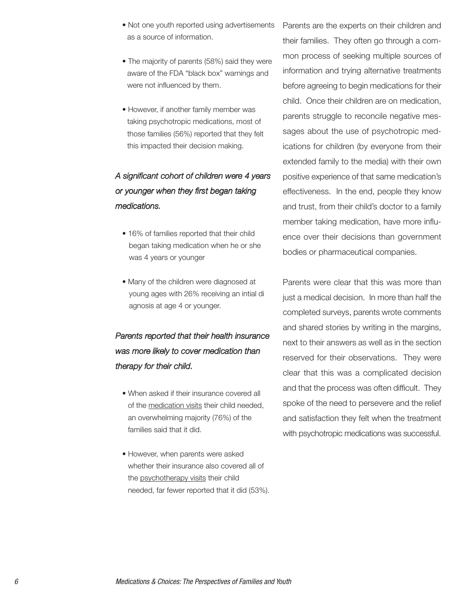- Not one youth reported using advertisements as a source of information.
- The majority of parents (58%) said they were aware of the FDA "black box" warnings and were not influenced by them.
- However, if another family member was taking psychotropic medications, most of those families (56%) reported that they felt this impacted their decision making.

### *A significant cohort of children were 4 years or younger when they first began taking medications.*

- 16% of families reported that their child began taking medication when he or she was 4 years or younger
- Many of the children were diagnosed at young ages with 26% receiving an intial di agnosis at age 4 or younger.

### *Parents reported that their health insurance was more likely to cover medication than therapy for their child.*

- When asked if their insurance covered all of the medication visits their child needed, an overwhelming majority (76%) of the families said that it did.
- However, when parents were asked whether their insurance also covered all of the psychotherapy visits their child needed, far fewer reported that it did (53%).

Parents are the experts on their children and their families. They often go through a common process of seeking multiple sources of information and trying alternative treatments before agreeing to begin medications for their child. Once their children are on medication, parents struggle to reconcile negative messages about the use of psychotropic medications for children (by everyone from their extended family to the media) with their own positive experience of that same medication's effectiveness. In the end, people they know and trust, from their child's doctor to a family member taking medication, have more influence over their decisions than government bodies or pharmaceutical companies.

Parents were clear that this was more than just a medical decision. In more than half the completed surveys, parents wrote comments and shared stories by writing in the margins, next to their answers as well as in the section reserved for their observations. They were clear that this was a complicated decision and that the process was often difficult. They spoke of the need to persevere and the relief and satisfaction they felt when the treatment with psychotropic medications was successful.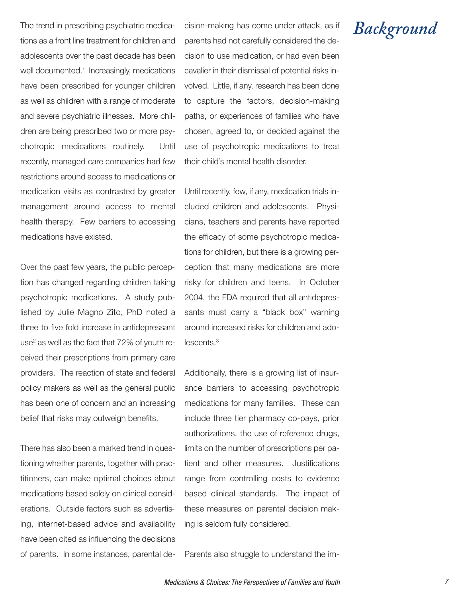The trend in prescribing psychiatric medications as a front line treatment for children and adolescents over the past decade has been well documented. <sup>1</sup> Increasingly, medications have been prescribed for younger children as well as children with a range of moderate and severe psychiatric illnesses. More children are being prescribed two or more psychotropic medications routinely. Until recently, managed care companies had few restrictions around access to medications or medication visits as contrasted by greater management around access to mental health therapy. Few barriers to accessing medications have existed.

Over the past few years, the public perception has changed regarding children taking psychotropic medications. A study published by Julie Magno Zito, PhD noted a three to five fold increase in antidepressant use<sup>2</sup> as well as the fact that 72% of youth received their prescriptions from primary care providers. The reaction of state and federal policy makers as well as the general public has been one of concern and an increasing belief that risks may outweigh benefits.

There has also been a marked trend in questioning whether parents, together with practitioners, can make optimal choices about medications based solely on clinical considerations. Outside factors such as advertising, internet-based advice and availability have been cited as influencing the decisions of parents. In some instances, parental de-

cision-making has come under attack, as if parents had not carefully considered the decision to use medication, or had even been cavalier in their dismissal of potential risks involved. Little, if any, research has been done to capture the factors, decision-making paths, or experiences of families who have chosen, agreed to, or decided against the use of psychotropic medications to treat their child's mental health disorder.

Until recently, few, if any, medication trials included children and adolescents. Physicians, teachers and parents have reported the efficacy of some psychotropic medications for children, but there is a growing perception that many medications are more risky for children and teens. In October 2004, the FDA required that all antidepressants must carry a "black box" warning around increased risks for children and adolescents. 3

Additionally, there is a growing list of insurance barriers to accessing psychotropic medications for many families. These can include three tier pharmacy co-pays, prior authorizations, the use of reference drugs, limits on the number of prescriptions per patient and other measures. Justifications range from controlling costs to evidence based clinical standards. The impact of these measures on parental decision making is seldom fully considered.

Parents also struggle to understand the im-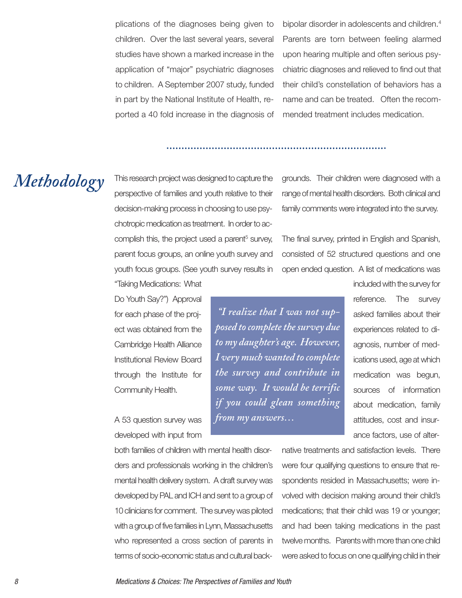plications of the diagnoses being given to children. Over the last several years, several studies have shown a marked increase in the application of "major" psychiatric diagnoses to children. A September 2007 study, funded in part by the National Institute of Health, reported a 40 fold increase in the diagnosis of

bipolar disorder in adolescents and children. 4 Parents are torn between feeling alarmed upon hearing multiple and often serious psychiatric diagnoses and relieved to find out that their child's constellation of behaviors has a name and can be treated. Often the recommended treatment includes medication.

## *Methodology*

This research project was designed to capture the perspective of families and youth relative to their decision-making process in choosing to use psychotropic medication as treatment. In order to accomplish this, the project used a parent<sup>5</sup> survey, parent focus groups, an online youth survey and youth focus groups. (See youth survey results in grounds. Their children were diagnosed with a range of mental health disorders. Both clinical and family comments were integrated into the survey.

The final survey, printed in English and Spanish, consisted of 52 structured questions and one open ended question. A list of medications was

Do Youth Say?") Approval for each phase of the project was obtained from the Cambridge Health Alliance Institutional Review Board through the Institute for Community Health.

"Taking Medications: What

A 53 question survey was developed with input from

both families of children with mental health disorders and professionals working in the children's mental health delivery system. A draft survey was developed by PAL and ICH and sent to a group of 10 clinicians for comment. The survey was piloted with a group of five families in Lynn, Massachusetts who represented a cross section of parents in terms of socio-economic status and cultural back-

*"I realize that I was not supposed* to complete the survey due *to my daughter's age. However, I very much wanted to complete the survey and contribute in some way. It would be terrific if you could glean something from my answers…*

included with the survey for reference. The survey asked families about their experiences related to diagnosis, number of medications used, age at which medication was begun, sources of information about medication, family attitudes, cost and insurance factors, use of alter-

native treatments and satisfaction levels. There were four qualifying questions to ensure that respondents resided in Massachusetts; were involved with decision making around their child's medications; that their child was 19 or younger; and had been taking medications in the past twelve months. Parents with more than one child were asked to focus on one qualifying child in their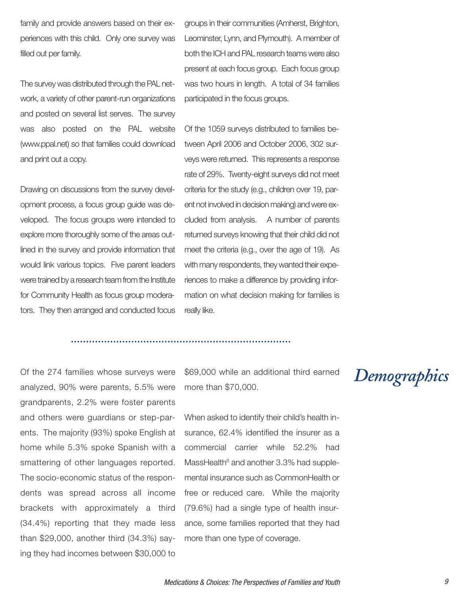family and provide answers based on their experiences with this child. Only one survey was filled out per family.

The survey was distributed through the PAL network, a variety of other parent-run organizations and posted on several list serves. The survey was also posted on the PAL website (www.ppal.net) so that families could download and print out a copy.

Drawing on discussions from the survey development process, a focus group guide was developed. The focus groups were intended to explore more thoroughly some of the areas outlined in the survey and provide information that would link various topics. Five parent leaders were trained by a research team from the Institute for Community Health as focus group moderators. They then arranged and conducted focus Leominster, Lynn, and Plymouth). A member of both the ICH and PAL research teams were also present at each focus group. Each focus group was two hours in length. A total of 34 families participated in the focus groups.

groups in their communities (Amherst, Brighton,

Of the 1059 surveys distributed to families between April 2006 and October 2006, 302 surveys were returned. This represents a response rate of 29%. Twenty-eight surveys did not meet criteria for the study (e.g., children over 19, parent not involved in decision making) and were excluded from analysis. A number of parents returned surveys knowing that their child did not meet the criteria (e.g., over the age of 19). As with many respondents, they wanted their experiences to make a difference by providing information on what decision making for families is really like.

Of the 274 families whose surveys were analyzed, 90% were parents, 5.5% were grandparents, 2.2% were foster parents and others were guardians or step-parents. The majority (93%) spoke English at home while 5.3% spoke Spanish with a smattering of other languages reported. The socio-economic status of the respondents was spread across all income brackets with approximately a third (34.4%) reporting that they made less than \$29,000, another third (34.3%) saying they had incomes between \$30,000 to \$69,000 while an additional third earned more than \$70,000.

When asked to identify their child's health insurance, 62.4% identified the insurer as a commercial carrier while 52.2% had MassHealth $6$  and another 3.3% had supplemental insurance such as CommonHealth or free or reduced care. While the majority (79.6%) had a single type of health insurance, some families reported that they had more than one type of coverage.

## *Demographics*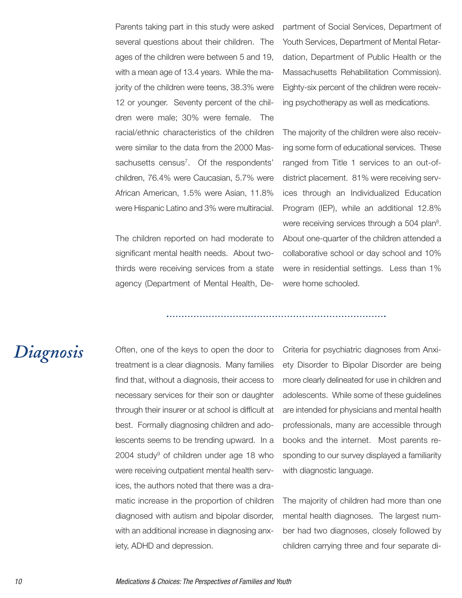Parents taking part in this study were asked several questions about their children. The ages of the children were between 5 and 19, with a mean age of 13.4 years. While the majority of the children were teens, 38.3% were 12 or younger. Seventy percent of the children were male; 30% were female. The racial/ethnic characteristics of the children were similar to the data from the 2000 Massachusetts census<sup>7</sup>. Of the respondents' children, 76.4% were Caucasian, 5.7% were African American, 1.5% were Asian, 11.8% were Hispanic Latino and 3% were multiracial.

The children reported on had moderate to significant mental health needs. About twothirds were receiving services from a state agency (Department of Mental Health, Department of Social Services, Department of Youth Services, Department of Mental Retardation, Department of Public Health or the Massachusetts Rehabilitation Commission). Eighty-six percent of the children were receiving psychotherapy as well as medications.

The majority of the children were also receiving some form of educational services. These ranged from Title 1 services to an out-ofdistrict placement. 81% were receiving services through an Individualized Education Program (IEP), while an additional 12.8% were receiving services through a 504 plan<sup>8</sup>. About one-quarter of the children attended a collaborative school or day school and 10% were in residential settings. Less than 1% were home schooled.

### *Diagnosis*

Often, one of the keys to open the door to treatment is a clear diagnosis. Many families find that, without a diagnosis, their access to necessary services for their son or daughter through their insurer or at school is difficult at best. Formally diagnosing children and adolescents seems to be trending upward. In a  $2004$  study<sup>9</sup> of children under age 18 who were receiving outpatient mental health services, the authors noted that there was a dramatic increase in the proportion of children diagnosed with autism and bipolar disorder, with an additional increase in diagnosing anxiety, ADHD and depression.

Criteria for psychiatric diagnoses from Anxiety Disorder to Bipolar Disorder are being more clearly delineated for use in children and adolescents. While some of these guidelines are intended for physicians and mental health professionals, many are accessible through books and the internet. Most parents responding to our survey displayed a familiarity with diagnostic language.

The majority of children had more than one mental health diagnoses. The largest number had two diagnoses, closely followed by children carrying three and four separate di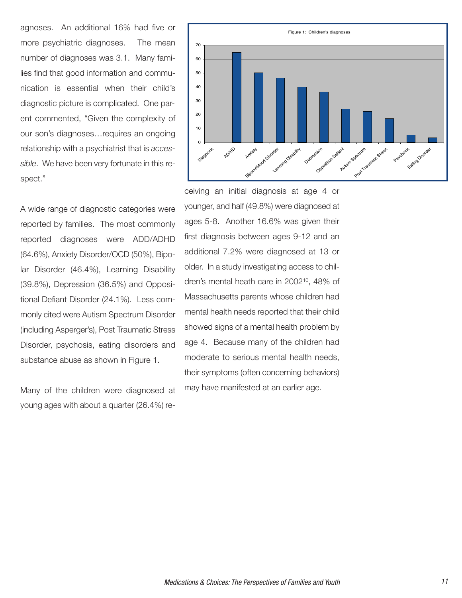agnoses. An additional 16% had five or more psychiatric diagnoses. The mean number of diagnoses was 3.1. Many families find that good information and communication is essential when their child's diagnostic picture is complicated. One parent commented, "Given the complexity of our son's diagnoses…requires an ongoing relationship with a psychiatrist that is *accessible*. We have been very fortunate in this respect."

A wide range of diagnostic categories were reported by families. The most commonly reported diagnoses were ADD/ADHD (64.6%), Anxiety Disorder/OCD (50%), Bipolar Disorder (46.4%), Learning Disability (39.8%), Depression (36.5%) and Oppositional Defiant Disorder (24.1%). Less commonly cited were Autism Spectrum Disorder (including Asperger's), Post Traumatic Stress Disorder, psychosis, eating disorders and substance abuse as shown in Figure 1.

Many of the children were diagnosed at young ages with about a quarter (26.4%) re-



ceiving an initial diagnosis at age 4 or younger, and half (49.8%) were diagnosed at ages 5-8. Another 16.6% was given their first diagnosis between ages 9-12 and an additional 7.2% were diagnosed at 13 or older. In a study investigating access to children's mental heath care in 2002<sup>10</sup>, 48% of Massachusetts parents whose children had mental health needs reported that their child showed signs of a mental health problem by age 4. Because many of the children had moderate to serious mental health needs, their symptoms (often concerning behaviors) may have manifested at an earlier age.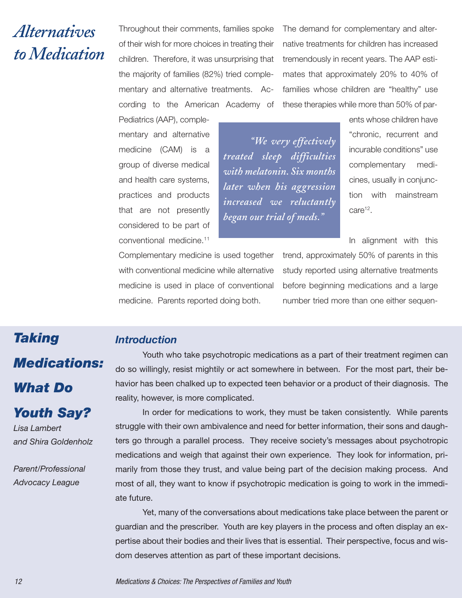## *Alternatives toMedication*

Throughout their comments, families spoke of their wish for more choices in treating their children. Therefore, it was unsurprising that the majority of families (82%) tried complementary and alternative treatments. According to the American Academy of

The demand for complementary and alternative treatments for children has increased tremendously in recent years. The AAP estimates that approximately 20% to 40% of families whose children are "healthy" use these therapies while more than 50% of par-

Pediatrics (AAP), complementary and alternative medicine (CAM) is a group of diverse medical and health care systems, practices and products that are not presently considered to be part of conventional medicine. 11

*Introduction*

*"We very effectively treated sleep difficulties with melatonin. Six months later when his aggression increased we reluctantly began our trial of meds."*

ents whose children have "chronic, recurrent and incurable conditions" use complementary medicines, usually in conjunction with mainstream care<sup>12</sup>.

In alignment with this

Complementary medicine is used together with conventional medicine while alternative medicine is used in place of conventional medicine. Parents reported doing both.

trend, approximately 50% of parents in this study reported using alternative treatments before beginning medications and a large number tried more than one either sequen-

# *Taking Medications: What Do Youth Say?*

*Lisa Lambert and Shira Goldenholz*

*Parent/Professional Advocacy League*

Youth who take psychotropic medications as a part of their treatment regimen can do so willingly, resist mightily or act somewhere in between. For the most part, their behavior has been chalked up to expected teen behavior or a product of their diagnosis. The reality, however, is more complicated.

In order for medications to work, they must be taken consistently. While parents struggle with their own ambivalence and need for better information, their sons and daughters go through a parallel process. They receive society's messages about psychotropic medications and weigh that against their own experience. They look for information, primarily from those they trust, and value being part of the decision making process. And most of all, they want to know if psychotropic medication is going to work in the immediate future.

Yet, many of the conversations about medications take place between the parent or guardian and the prescriber. Youth are key players in the process and often display an expertise about their bodies and their lives that is essential. Their perspective, focus and wisdom deserves attention as part of these important decisions.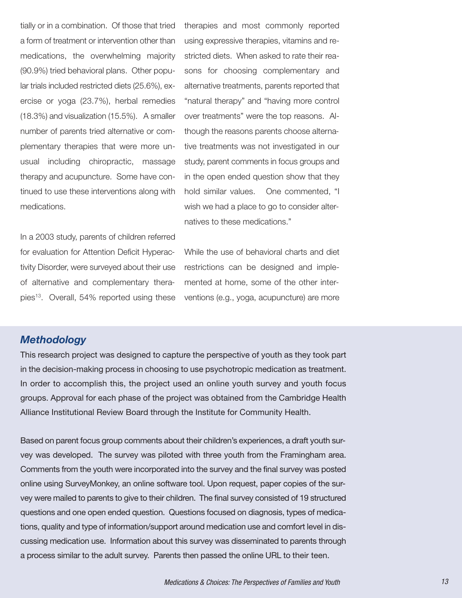tially or in a combination. Of those that tried a form of treatment or intervention other than medications, the overwhelming majority (90.9%) tried behavioral plans. Other popular trials included restricted diets (25.6%), exercise or yoga (23.7%), herbal remedies (18.3%) and visualization (15.5%). A smaller number of parents tried alternative or complementary therapies that were more unusual including chiropractic, massage therapy and acupuncture. Some have continued to use these interventions along with medications.

In a 2003 study, parents of children referred for evaluation for Attention Deficit Hyperactivity Disorder, were surveyed about their use of alternative and complementary therapies13. Overall, 54% reported using these

therapies and most commonly reported using expressive therapies, vitamins and restricted diets. When asked to rate their reasons for choosing complementary and alternative treatments, parents reported that "natural therapy" and "having more control over treatments" were the top reasons. Although the reasons parents choose alternative treatments was not investigated in our study, parent comments in focus groups and in the open ended question show that they hold similar values. One commented, "I wish we had a place to go to consider alternatives to these medications."

While the use of behavioral charts and diet restrictions can be designed and implemented at home, some of the other interventions (e.g., yoga, acupuncture) are more

#### *Methodology*

This research project was designed to capture the perspective of youth as they took part in the decision-making process in choosing to use psychotropic medication as treatment. In order to accomplish this, the project used an online youth survey and youth focus groups. Approval for each phase of the project was obtained from the Cambridge Health Alliance Institutional Review Board through the Institute for Community Health.

Based on parent focus group comments about their children's experiences, a draft youth survey was developed. The survey was piloted with three youth from the Framingham area. Comments from the youth were incorporated into the survey and the final survey was posted online using SurveyMonkey, an online software tool. Upon request, paper copies of the survey were mailed to parents to give to their children. The final survey consisted of 19 structured questions and one open ended question. Questions focused on diagnosis, types of medications, quality and type of information/support around medication use and comfort level in discussing medication use. Information about this survey was disseminated to parents through a process similar to the adult survey. Parents then passed the online URL to their teen.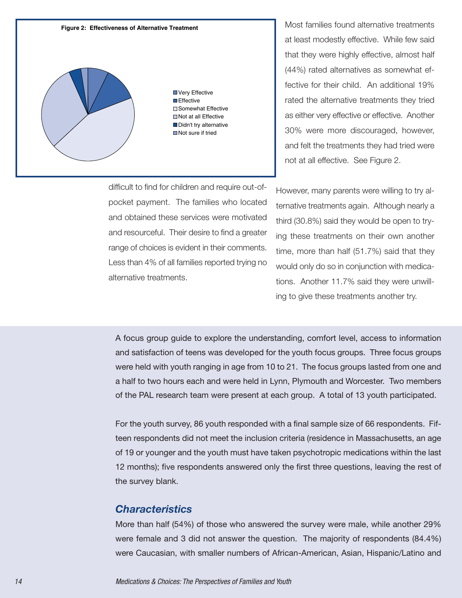

difficult to find for children and require out-ofpocket payment. The families who located and obtained these services were motivated and resourceful. Their desire to find a greater range of choices is evident in their comments. Less than 4% of all families reported trying no alternative treatments.

Most families found alternative treatments at least modestly effective. While few said that they were highly effective, almost half (44%) rated alternatives as somewhat effective for their child. An additional 19% rated the alternative treatments they tried as either very effective or effective. Another 30% were more discouraged, however, and felt the treatments they had tried were not at all effective. See Figure 2.

However, many parents were willing to try alternative treatments again. Although nearly a third (30.8%) said they would be open to trying these treatments on their own another time, more than half (51.7%) said that they would only do so in conjunction with medications. Another 11.7% said they were unwilling to give these treatments another try.

A focus group guide to explore the understanding, comfort level, access to information and satisfaction of teens was developed for the youth focus groups. Three focus groups were held with youth ranging in age from 10 to 21. The focus groups lasted from one and a half to two hours each and were held in Lynn, Plymouth and Worcester. Two members of the PAL research team were present at each group. A total of 13 youth participated.

For the youth survey, 86 youth responded with a final sample size of 66 respondents. Fifteen respondents did not meet the inclusion criteria (residence in Massachusetts, an age of 19 or younger and the youth must have taken psychotropic medications within the last 12 months); five respondents answered only the first three questions, leaving the rest of the survey blank.

#### *Characteristics*

More than half (54%) of those who answered the survey were male, while another 29% were female and 3 did not answer the question. The majority of respondents (84.4%) were Caucasian, with smaller numbers of African-American, Asian, Hispanic/Latino and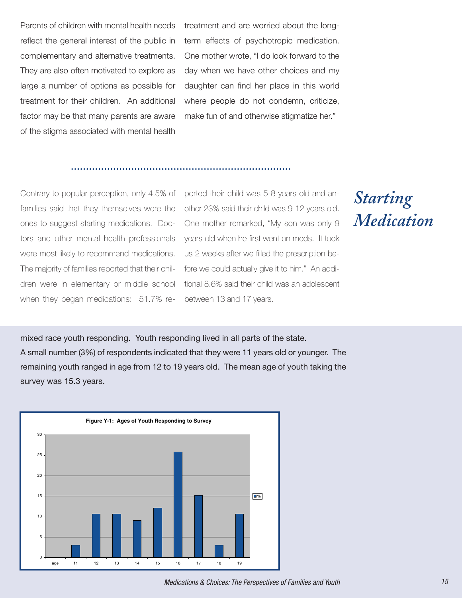Parents of children with mental health needs reflect the general interest of the public in complementary and alternative treatments. They are also often motivated to explore as large a number of options as possible for treatment for their children. An additional factor may be that many parents are aware of the stigma associated with mental health

treatment and are worried about the longterm effects of psychotropic medication. One mother wrote, "I do look forward to the day when we have other choices and my daughter can find her place in this world where people do not condemn, criticize, make fun of and otherwise stigmatize her."

Contrary to popular perception, only 4.5% of families said that they themselves were the ones to suggest starting medications. Doctors and other mental health professionals were most likely to recommend medications. The majority of families reported that their children were in elementary or middle school when they began medications: 51.7% reported their child was 5-8 years old and another 23% said their child was 9-12 years old. One mother remarked, "My son was only 9 years old when he first went on meds. It took us 2 weeks after we filled the prescription before we could actually give it to him." An additional 8.6% said their child was an adolescent between 13 and 17 years.

*Starting Medication*

mixed race youth responding. Youth responding lived in all parts of the state. A small number (3%) of respondents indicated that they were 11 years old or younger. The remaining youth ranged in age from 12 to 19 years old. The mean age of youth taking the survey was 15.3 years.

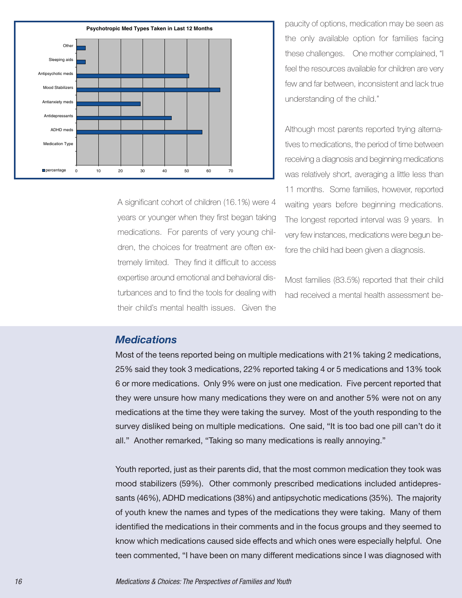

A significant cohort of children (16.1%) were 4 years or younger when they first began taking medications. For parents of very young children, the choices for treatment are often extremely limited. They find it difficult to access expertise around emotional and behavioral disturbances and to find the tools for dealing with their child's mental health issues. Given the

paucity of options, medication may be seen as the only available option for families facing these challenges. One mother complained, "I feel the resources available for children are very few and far between, inconsistent and lack true understanding of the child."

Although most parents reported trying alternatives to medications, the period of time between receiving a diagnosis and beginning medications was relatively short, averaging a little less than 11 months. Some families, however, reported waiting years before beginning medications. The longest reported interval was 9 years. In very few instances, medications were begun before the child had been given a diagnosis.

Most families (83.5%) reported that their child had received a mental health assessment be-

### *Medications*

Most of the teens reported being on multiple medications with 21% taking 2 medications, 25% said they took 3 medications, 22% reported taking 4 or 5 medications and 13% took 6 or more medications. Only 9% were on just one medication. Five percent reported that they were unsure how many medications they were on and another 5% were not on any medications at the time they were taking the survey. Most of the youth responding to the survey disliked being on multiple medications. One said, "It is too bad one pill can't do it all." Another remarked, "Taking so many medications is really annoying."

Youth reported, just as their parents did, that the most common medication they took was mood stabilizers (59%). Other commonly prescribed medications included antidepressants (46%), ADHD medications (38%) and antipsychotic medications (35%). The majority of youth knew the names and types of the medications they were taking. Many of them identified the medications in their comments and in the focus groups and they seemed to know which medications caused side effects and which ones were especially helpful. One teen commented, "I have been on many different medications since I was diagnosed with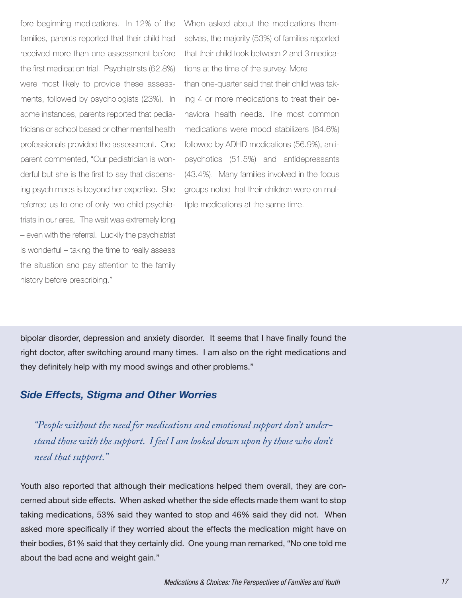fore beginning medications. In 12% of the families, parents reported that their child had received more than one assessment before the first medication trial. Psychiatrists (62.8%) were most likely to provide these assessments, followed by psychologists (23%). In some instances, parents reported that pediatricians or school based or other mental health professionals provided the assessment. One parent commented, "Our pediatrician is wonderful but she is the first to say that dispensing psych meds is beyond her expertise. She referred us to one of only two child psychiatrists in our area. The wait was extremely long – even with the referral. Luckily the psychiatrist is wonderful – taking the time to really assess the situation and pay attention to the family history before prescribing."

When asked about the medications themselves, the majority (53%) of families reported that their child took between 2 and 3 medications at the time of the survey. More than one-quarter said that their child was taking 4 or more medications to treat their behavioral health needs. The most common medications were mood stabilizers (64.6%) followed by ADHD medications (56.9%), antipsychotics (51.5%) and antidepressants (43.4%). Many families involved in the focus groups noted that their children were on multiple medications at the same time.

bipolar disorder, depression and anxiety disorder. It seems that I have finally found the right doctor, after switching around many times. I am also on the right medications and they definitely help with my mood swings and other problems."

### *Side Effects, Stigma and Other Worries*

*"People without the need for medications and emotional support don't understand those with the support. I feel I am looked down upon by those who don't need that support."*

Youth also reported that although their medications helped them overall, they are concerned about side effects. When asked whether the side effects made them want to stop taking medications, 53% said they wanted to stop and 46% said they did not. When asked more specifically if they worried about the effects the medication might have on their bodies, 61% said that they certainly did. One young man remarked, "No one told me about the bad acne and weight gain."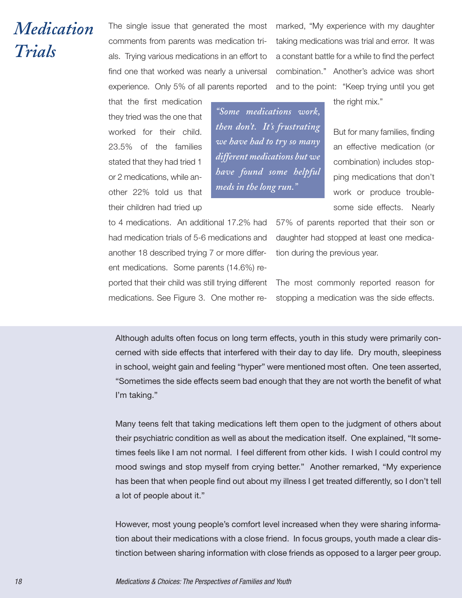## *Medication Trials*

The single issue that generated the most comments from parents was medication trials. Trying various medications in an effort to find one that worked was nearly a universal experience. Only 5% of all parents reported

marked, "My experience with my daughter taking medications was trial and error. It was a constant battle for a while to find the perfect combination." Another's advice was short and to the point: "Keep trying until you get

that the first medication they tried was the one that worked for their child. 23.5% of the families stated that they had tried 1 or 2 medications, while another 22% told us that their children had tried up

*"Some medications work, then don't. It's frustrating we have had to try so many different medications but we have found some helpful meds in the long run."*

the right mix."

But for many families, finding an effective medication (or combination) includes stopping medications that don't work or produce troublesome side effects. Nearly

to 4 medications. An additional 17.2% had had medication trials of 5-6 medications and another 18 described trying 7 or more different medications. Some parents (14.6%) reported that their child was still trying different medications. See Figure 3. One mother re57% of parents reported that their son or daughter had stopped at least one medication during the previous year.

The most commonly reported reason for stopping a medication was the side effects.

Although adults often focus on long term effects, youth in this study were primarily concerned with side effects that interfered with their day to day life. Dry mouth, sleepiness in school, weight gain and feeling "hyper" were mentioned most often. One teen asserted, "Sometimes the side effects seem bad enough that they are not worth the benefit of what I'm taking."

Many teens felt that taking medications left them open to the judgment of others about their psychiatric condition as well as about the medication itself. One explained, "It sometimes feels like I am not normal. I feel different from other kids. I wish I could control my mood swings and stop myself from crying better." Another remarked, "My experience has been that when people find out about my illness I get treated differently, so I don't tell a lot of people about it."

However, most young people's comfort level increased when they were sharing information about their medications with a close friend. In focus groups, youth made a clear distinction between sharing information with close friends as opposed to a larger peer group.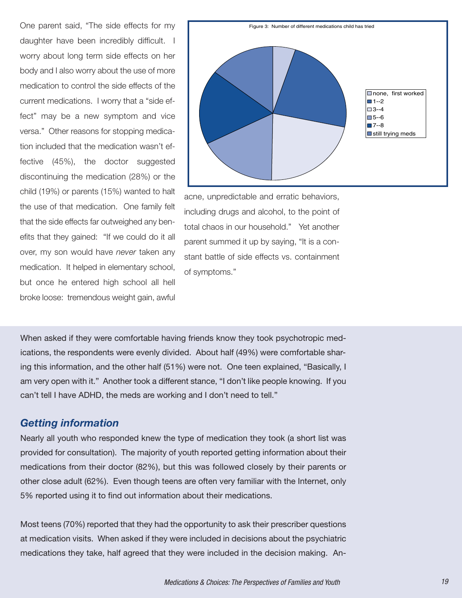One parent said, "The side effects for my daughter have been incredibly difficult. I worry about long term side effects on her body and I also worry about the use of more medication to control the side effects of the current medications. I worry that a "side effect" may be a new symptom and vice versa." Other reasons for stopping medication included that the medication wasn't effective (45%), the doctor suggested discontinuing the medication (28%) or the child (19%) or parents (15%) wanted to halt the use of that medication. One family felt that the side effects far outweighed any benefits that they gained: "If we could do it all over, my son would have *never* taken any medication. It helped in elementary school, but once he entered high school all hell broke loose: tremendous weight gain, awful



acne, unpredictable and erratic behaviors, including drugs and alcohol, to the point of total chaos in our household." Yet another parent summed it up by saying, "It is a constant battle of side effects vs. containment of symptoms."

When asked if they were comfortable having friends know they took psychotropic medications, the respondents were evenly divided. About half (49%) were comfortable sharing this information, and the other half (51%) were not. One teen explained, "Basically, I am very open with it." Another took a different stance, "I don't like people knowing. If you can't tell I have ADHD, the meds are working and I don't need to tell."

### *Getting information*

Nearly all youth who responded knew the type of medication they took (a short list was provided for consultation). The majority of youth reported getting information about their medications from their doctor (82%), but this was followed closely by their parents or other close adult (62%). Even though teens are often very familiar with the Internet, only 5% reported using it to find out information about their medications.

Most teens (70%) reported that they had the opportunity to ask their prescriber questions at medication visits. When asked if they were included in decisions about the psychiatric medications they take, half agreed that they were included in the decision making. An-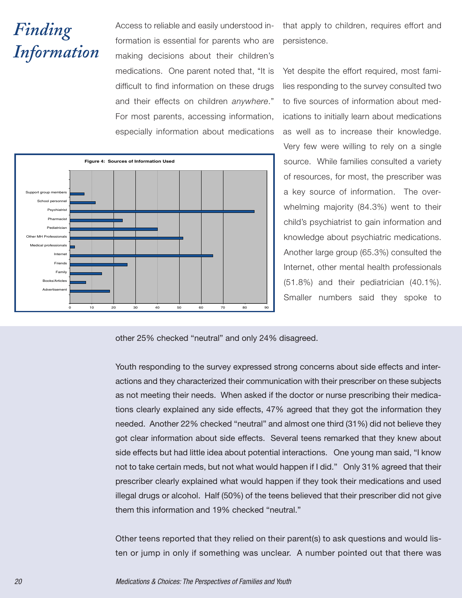# *Finding Information*

Access to reliable and easily understood information is essential for parents who are making decisions about their children's medications. One parent noted that, "It is difficult to find information on these drugs and their effects on children *anywhere*." For most parents, accessing information, especially information about medications

that apply to children, requires effort and persistence.

Yet despite the effort required, most families responding to the survey consulted two to five sources of information about medications to initially learn about medications as well as to increase their knowledge. Very few were willing to rely on a single source. While families consulted a variety of resources, for most, the prescriber was a key source of information. The overwhelming majority (84.3%) went to their child's psychiatrist to gain information and knowledge about psychiatric medications. Another large group (65.3%) consulted the Internet, other mental health professionals (51.8%) and their pediatrician (40.1%). Smaller numbers said they spoke to



other 25% checked "neutral" and only 24% disagreed.

Youth responding to the survey expressed strong concerns about side effects and interactions and they characterized their communication with their prescriber on these subjects as not meeting their needs. When asked if the doctor or nurse prescribing their medications clearly explained any side effects, 47% agreed that they got the information they needed. Another 22% checked "neutral" and almost one third (31%) did not believe they got clear information about side effects. Several teens remarked that they knew about side effects but had little idea about potential interactions. One young man said, "I know not to take certain meds, but not what would happen if I did." Only 31% agreed that their prescriber clearly explained what would happen if they took their medications and used illegal drugs or alcohol. Half (50%) of the teens believed that their prescriber did not give them this information and 19% checked "neutral."

Other teens reported that they relied on their parent(s) to ask questions and would listen or jump in only if something was unclear. A number pointed out that there was

20 Medications & Choices: The Perspectives of Families and Youth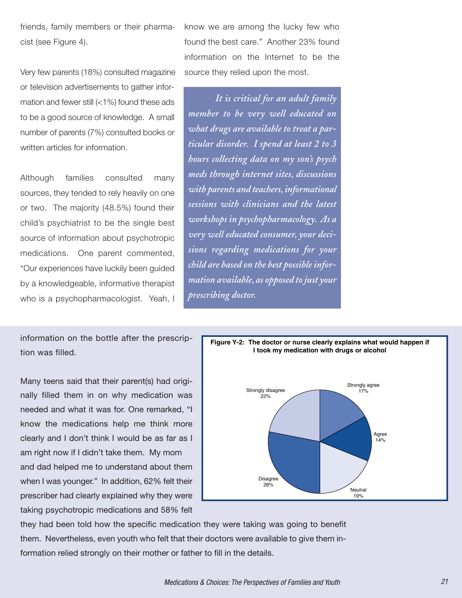friends, family members or their pharmacist (see Figure 4).

Very few parents (18%) consulted magazine or television advertisements to gather information and fewer still (<1%) found these ads to be a good source of knowledge. A small number of parents (7%) consulted books or written articles for information.

Although families consulted many sources, they tended to rely heavily on one or two. The majority (48.5%) found their child's psychiatrist to be the single best source of information about psychotropic medications. One parent commented, "Our experiences have luckily been guided by a knowledgeable, informative therapist who is a psychopharmacologist. Yeah, I

information on the bottle after the prescription was filled.

Many teens said that their parent(s) had originally filled them in on why medication was needed and what it was for. One remarked, "I know the medications help me think more clearly and I don't think I would be as far as I am right now if I didn't take them. My mom and dad helped me to understand about them when I was younger." In addition, 62% felt their prescriber had clearly explained why they were taking psychotropic medications and 58% felt

know we are among the lucky few who found the best care." Another 23% found information on the Internet to be the source they relied upon the most.

*It is critical for an adult family member to be very well educated on what drugs are available to treat a particular disorder. I spend at least 2 to 3 hours collecting data on my son's psych meds through internet sites, discussions with parents and teachers,informational sessions with clinicians and the latest workshops in psychopharmacology. As a very well educated consumer, your decisions regarding medications for your child are based on the best possibleinformation available, as opposed to just your prescribing doctor.*



they had been told how the specific medication they were taking was going to benefit them. Nevertheless, even youth who felt that their doctors were available to give them information relied strongly on their mother or father to fill in the details.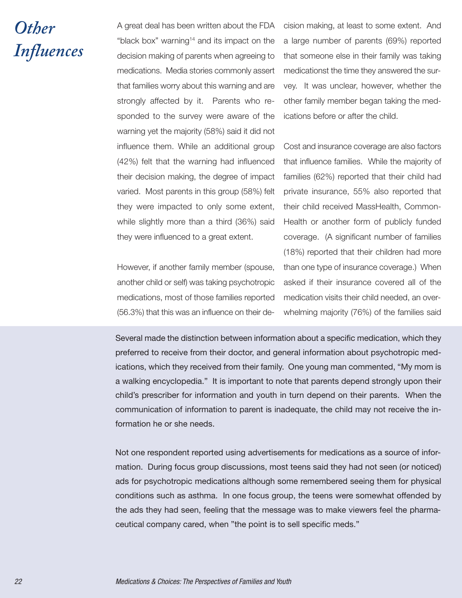## *Other Influences*

A great deal has been written about the FDA "black box" warning<sup>14</sup> and its impact on the decision making of parents when agreeing to medications. Media stories commonly assert that families worry about this warning and are strongly affected by it. Parents who responded to the survey were aware of the warning yet the majority (58%) said it did not influence them. While an additional group (42%) felt that the warning had influenced their decision making, the degree of impact varied. Most parents in this group (58%) felt they were impacted to only some extent, while slightly more than a third (36%) said they were influenced to a great extent.

However, if another family member (spouse, another child or self) was taking psychotropic medications, most of those families reported (56.3%) that this was an influence on their decision making, at least to some extent. And a large number of parents (69%) reported that someone else in their family was taking medicationst the time they answered the survey. It was unclear, however, whether the other family member began taking the medications before or after the child.

Cost and insurance coverage are also factors that influence families. While the majority of families (62%) reported that their child had private insurance, 55% also reported that their child received MassHealth, Common-Health or another form of publicly funded coverage. (A significant number of families (18%) reported that their children had more than one type of insurance coverage.) When asked if their insurance covered all of the medication visits their child needed, an overwhelming majority (76%) of the families said

Several made the distinction between information about a specific medication, which they preferred to receive from their doctor, and general information about psychotropic medications, which they received from their family. One young man commented, "My mom is a walking encyclopedia." It is important to note that parents depend strongly upon their child's prescriber for information and youth in turn depend on their parents. When the communication of information to parent is inadequate, the child may not receive the information he or she needs.

Not one respondent reported using advertisements for medications as a source of information. During focus group discussions, most teens said they had not seen (or noticed) ads for psychotropic medications although some remembered seeing them for physical conditions such as asthma. In one focus group, the teens were somewhat offended by the ads they had seen, feeling that the message was to make viewers feel the pharmaceutical company cared, when "the point is to sell specific meds."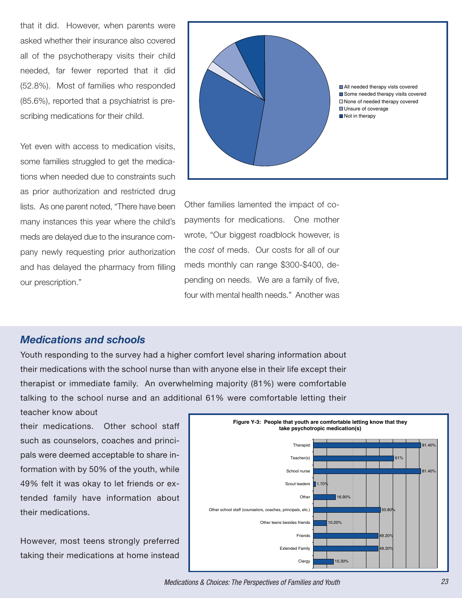that it did. However, when parents were asked whether their insurance also covered all of the psychotherapy visits their child needed, far fewer reported that it did (52.8%). Most of families who responded (85.6%), reported that a psychiatrist is prescribing medications for their child.

Yet even with access to medication visits, some families struggled to get the medications when needed due to constraints such as prior authorization and restricted drug lists. As one parent noted, "There have been many instances this year where the child's meds are delayed due to the insurance company newly requesting prior authorization and has delayed the pharmacy from filling our prescription."



Other families lamented the impact of copayments for medications. One mother wrote, "Our biggest roadblock however, is the *cost* of meds. Our costs for all of our meds monthly can range \$300-\$400, depending on needs. We are a family of five, four with mental health needs." Another was

### *Medications and schools*

Youth responding to the survey had a higher comfort level sharing information about their medications with the school nurse than with anyone else in their life except their therapist or immediate family. An overwhelming majority (81%) were comfortable talking to the school nurse and an additional 61% were comfortable letting their

teacher know about their medications. Other school staff

such as counselors, coaches and principals were deemed acceptable to share information with by 50% of the youth, while 49% felt it was okay to let friends or extended family have information about their medications.

However, most teens strongly preferred taking their medications at home instead



Medications & Choices: The Perspectives of Families and Youth 23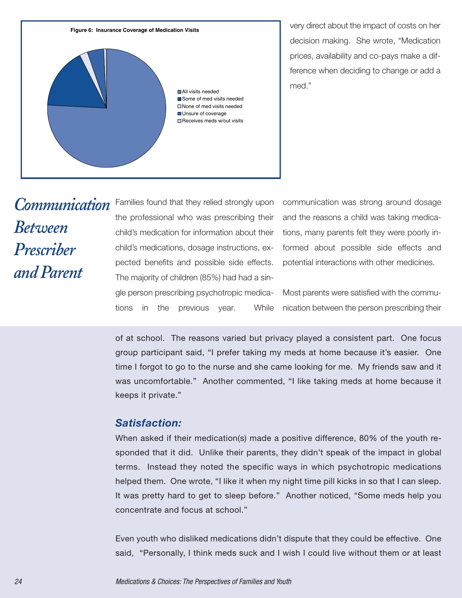

very direct about the impact of costs on her decision making. She wrote, "Medication prices, availability and co-pays make a difference when deciding to change or add a med."

## *Communication Between Prescriber andParent*

Families found that they relied strongly upon the professional who was prescribing their child's medication for information about their child's medications, dosage instructions, expected benefits and possible side effects. The majority of children (85%) had had a single person prescribing psychotropic medications in the previous year. While

communication was strong around dosage and the reasons a child was taking medications, many parents felt they were poorly informed about possible side effects and potential interactions with other medicines.

Most parents were satisfied with the communication between the person prescribing their

of at school. The reasons varied but privacy played a consistent part. One focus group participant said, "I prefer taking my meds at home because it's easier. One time I forgot to go to the nurse and she came looking for me. My friends saw and it was uncomfortable." Another commented, "I like taking meds at home because it keeps it private."

### *Satisfaction:*

When asked if their medication(s) made a positive difference, 80% of the youth responded that it did. Unlike their parents, they didn't speak of the impact in global terms. Instead they noted the specific ways in which psychotropic medications helped them. One wrote, "I like it when my night time pill kicks in so that I can sleep. It was pretty hard to get to sleep before." Another noticed, "Some meds help you concentrate and focus at school."

Even youth who disliked medications didn't dispute that they could be effective. One said, "Personally, I think meds suck and I wish I could live without them or at least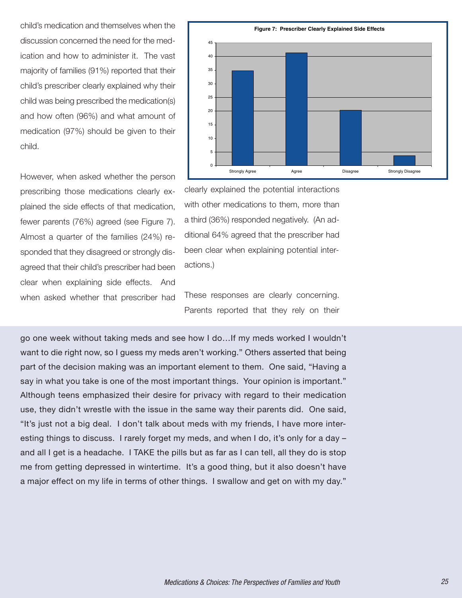child's medication and themselves when the discussion concerned the need for the medication and how to administer it. The vast majority of families (91%) reported that their child's prescriber clearly explained why their child was being prescribed the medication(s) and how often (96%) and what amount of medication (97%) should be given to their child.

However, when asked whether the person prescribing those medications clearly explained the side effects of that medication, fewer parents (76%) agreed (see Figure 7). Almost a quarter of the families (24%) responded that they disagreed or strongly disagreed that their child's prescriber had been clear when explaining side effects. And when asked whether that prescriber had



clearly explained the potential interactions with other medications to them, more than a third (36%) responded negatively. (An additional 64% agreed that the prescriber had been clear when explaining potential interactions.)

These responses are clearly concerning. Parents reported that they rely on their

go one week without taking meds and see how I do…If my meds worked I wouldn't want to die right now, so I guess my meds aren't working." Others asserted that being part of the decision making was an important element to them. One said, "Having a say in what you take is one of the most important things. Your opinion is important." Although teens emphasized their desire for privacy with regard to their medication use, they didn't wrestle with the issue in the same way their parents did. One said, "It's just not a big deal. I don't talk about meds with my friends, I have more interesting things to discuss. I rarely forget my meds, and when I do, it's only for a day – and all I get is a headache. I TAKE the pills but as far as I can tell, all they do is stop me from getting depressed in wintertime. It's a good thing, but it also doesn't have a major effect on my life in terms of other things. I swallow and get on with my day."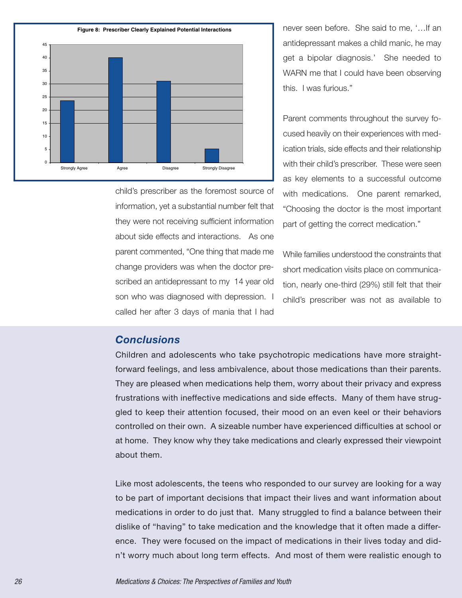

child's prescriber as the foremost source of information, yet a substantial number felt that they were not receiving sufficient information about side effects and interactions. As one parent commented, "One thing that made me change providers was when the doctor prescribed an antidepressant to my 14 year old son who was diagnosed with depression. I called her after 3 days of mania that I had

never seen before. She said to me, '…If an antidepressant makes a child manic, he may get a bipolar diagnosis.' She needed to WARN me that I could have been observing this. I was furious."

Parent comments throughout the survey focused heavily on their experiences with medication trials, side effects and their relationship with their child's prescriber. These were seen as key elements to a successful outcome with medications. One parent remarked, "Choosing the doctor is the most important part of getting the correct medication."

While families understood the constraints that short medication visits place on communication, nearly one-third (29%) still felt that their child's prescriber was not as available to

### *Conclusions*

Children and adolescents who take psychotropic medications have more straightforward feelings, and less ambivalence, about those medications than their parents. They are pleased when medications help them, worry about their privacy and express frustrations with ineffective medications and side effects. Many of them have struggled to keep their attention focused, their mood on an even keel or their behaviors controlled on their own. A sizeable number have experienced difficulties at school or at home. They know why they take medications and clearly expressed their viewpoint about them.

Like most adolescents, the teens who responded to our survey are looking for a way to be part of important decisions that impact their lives and want information about medications in order to do just that. Many struggled to find a balance between their dislike of "having" to take medication and the knowledge that it often made a difference. They were focused on the impact of medications in their lives today and didn't worry much about long term effects. And most of them were realistic enough to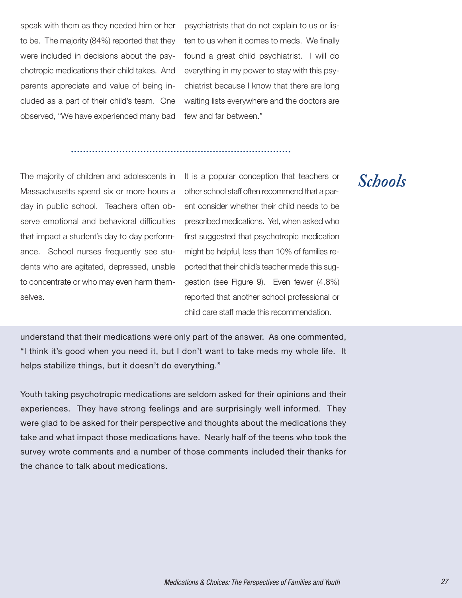speak with them as they needed him or her to be. The majority (84%) reported that they were included in decisions about the psychotropic medications their child takes. And parents appreciate and value of being included as a part of their child's team. One observed, "We have experienced many bad

psychiatrists that do not explain to us or listen to us when it comes to meds. We finally found a great child psychiatrist. I will do everything in my power to stay with this psychiatrist because I know that there are long waiting lists everywhere and the doctors are few and far between."

The majority of children and adolescents in Massachusetts spend six or more hours a day in public school. Teachers often observe emotional and behavioral difficulties that impact a student's day to day performance. School nurses frequently see students who are agitated, depressed, unable to concentrate or who may even harm themselves.

It is a popular conception that teachers or other school staff often recommend that a parent consider whether their child needs to be prescribed medications. Yet, when asked who first suggested that psychotropic medication might be helpful, less than 10% of families reported that their child's teacher made this suggestion (see Figure 9). Even fewer (4.8%) reported that another school professional or child care staff made this recommendation.

understand that their medications were only part of the answer. As one commented, "I think it's good when you need it, but I don't want to take meds my whole life. It helps stabilize things, but it doesn't do everything."

Youth taking psychotropic medications are seldom asked for their opinions and their experiences. They have strong feelings and are surprisingly well informed. They were glad to be asked for their perspective and thoughts about the medications they take and what impact those medications have. Nearly half of the teens who took the survey wrote comments and a number of those comments included their thanks for the chance to talk about medications.

### *Schools*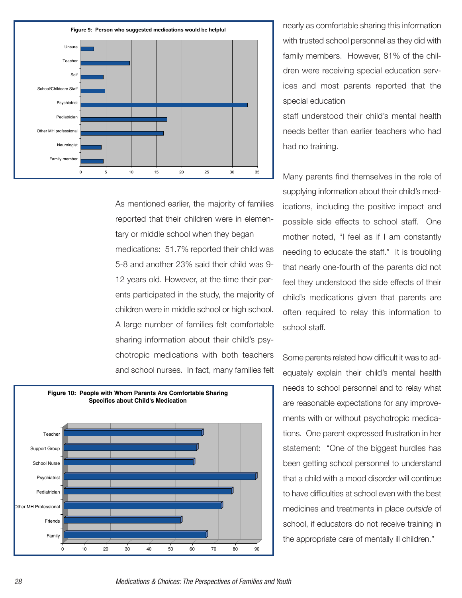

As mentioned earlier, the majority of families reported that their children were in elementary or middle school when they began medications: 51.7% reported their child was 5-8 and another 23% said their child was 9- 12 years old. However, at the time their parents participated in the study, the majority of children were in middle school or high school. A large number of families felt comfortable sharing information about their child's psychotropic medications with both teachers and school nurses. In fact, many families felt



nearly as comfortable sharing this information with trusted school personnel as they did with family members. However, 81% of the children were receiving special education services and most parents reported that the special education

staff understood their child's mental health needs better than earlier teachers who had had no training.

Many parents find themselves in the role of supplying information about their child's medications, including the positive impact and possible side effects to school staff. One mother noted, "I feel as if I am constantly needing to educate the staff." It is troubling that nearly one-fourth of the parents did not feel they understood the side effects of their child's medications given that parents are often required to relay this information to school staff.

Some parents related how difficult it was to adequately explain their child's mental health needs to school personnel and to relay what are reasonable expectations for any improvements with or without psychotropic medications. One parent expressed frustration in her statement: "One of the biggest hurdles has been getting school personnel to understand that a child with a mood disorder will continue to have difficulties at school even with the best medicines and treatments in place *outside* of school, if educators do not receive training in the appropriate care of mentally ill children."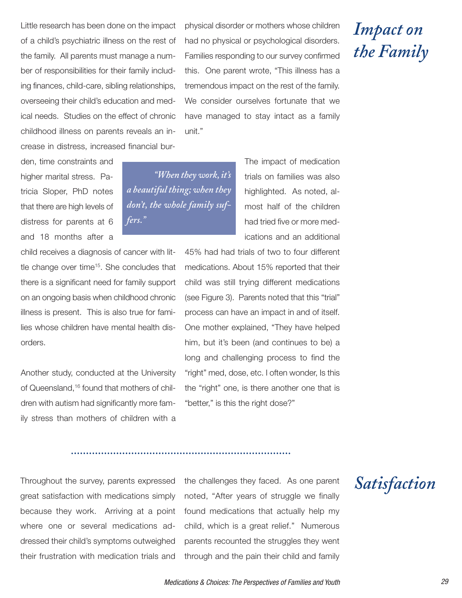Little research has been done on the impact of a child's psychiatric illness on the rest of the family. All parents must manage a number of responsibilities for their family including finances, child-care, sibling relationships, overseeing their child's education and medical needs. Studies on the effect of chronic childhood illness on parents reveals an increase in distress, increased financial bur-

den, time constraints and higher marital stress. Patricia Sloper, PhD notes that there are high levels of distress for parents at 6 and 18 months after a

child receives a diagnosis of cancer with little change over time<sup>15</sup>. She concludes that there is a significant need for family support on an ongoing basis when childhood chronic illness is present. This is also true for families whose children have mental health disorders.

Another study, conducted at the University of Queensland, <sup>16</sup> found that mothers of children with autism had significantly more family stress than mothers of children with a physical disorder or mothers whose children had no physical or psychological disorders. Families responding to our survey confirmed this. One parent wrote, "This illness has a tremendous impact on the rest of the family. We consider ourselves fortunate that we have managed to stay intact as a family unit."

*"When they work,it's a beautiful thing;when they don't, the whole family suffers."*

The impact of medication trials on families was also highlighted. As noted, almost half of the children had tried five or more medications and an additional

45% had had trials of two to four different medications. About 15% reported that their child was still trying different medications (see Figure 3). Parents noted that this "trial" process can have an impact in and of itself. One mother explained, "They have helped him, but it's been (and continues to be) a long and challenging process to find the "right" med, dose, etc. I often wonder, Is this the "right" one, is there another one that is "better," is this the right dose?"

Throughout the survey, parents expressed great satisfaction with medications simply because they work. Arriving at a point where one or several medications addressed their child's symptoms outweighed their frustration with medication trials and

the challenges they faced. As one parent noted, "After years of struggle we finally found medications that actually help my child, which is a great relief." Numerous parents recounted the struggles they went through and the pain their child and family *Satisfaction*

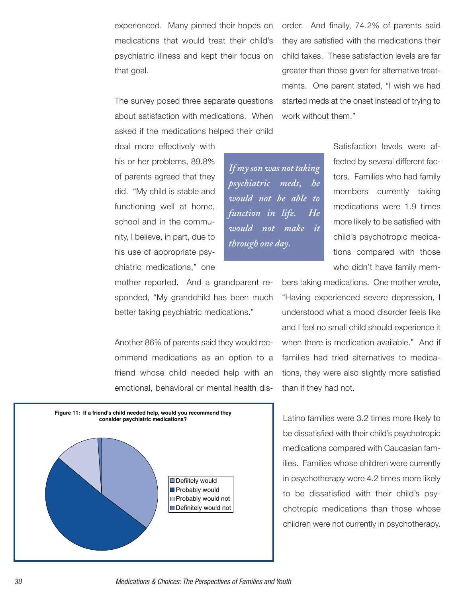experienced. Many pinned their hopes on medications that would treat their child's psychiatric illness and kept their focus on that goal.

The survey posed three separate questions about satisfaction with medications. When asked if the medications helped their child order. And finally, 74.2% of parents said they are satisfied with the medications their child takes. These satisfaction levels are far greater than those given for alternative treatments. One parent stated, "I wish we had started meds at the onset instead of trying to work without them."

deal more effectively with his or her problems, 89.8% of parents agreed that they did. "My child is stable and functioning well at home, school and in the community, I believe, in part, due to his use of appropriate psychiatric medications," one

*If my son was not taking psychiatric meds, he would not be able to function in life. He would not make it through one day.*

Satisfaction levels were affected by several different factors. Families who had family members currently taking medications were 1.9 times more likely to be satisfied with child's psychotropic medications compared with those who didn't have family mem-

bers taking medications. One mother wrote, "Having experienced severe depression, I understood what a mood disorder feels like and I feel no small child should experience it when there is medication available." And if families had tried alternatives to medications, they were also slightly more satisfied than if they had not.

Latino families were 3.2 times more likely to be dissatisfied with their child's psychotropic medications compared with Caucasian families. Families whose children were currently in psychotherapy were 4.2 times more likely to be dissatisfied with their child's psychotropic medications than those whose children were not currently in psychotherapy.

mother reported. And a grandparent responded, "My grandchild has been much better taking psychiatric medications."

Another 86% of parents said they would recommend medications as an option to a friend whose child needed help with an emotional, behavioral or mental health dis-

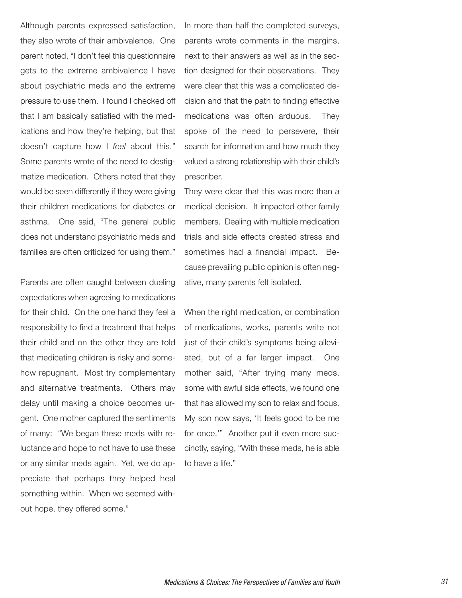Although parents expressed satisfaction, they also wrote of their ambivalence. One parent noted, "I don't feel this questionnaire gets to the extreme ambivalence I have about psychiatric meds and the extreme pressure to use them. I found I checked off that I am basically satisfied with the medications and how they're helping, but that doesn't capture how I *feel* about this." Some parents wrote of the need to destigmatize medication. Others noted that they would be seen differently if they were giving their children medications for diabetes or asthma. One said, "The general public does not understand psychiatric meds and families are often criticized for using them."

Parents are often caught between dueling expectations when agreeing to medications for their child. On the one hand they feel a responsibility to find a treatment that helps their child and on the other they are told that medicating children is risky and somehow repugnant. Most try complementary and alternative treatments. Others may delay until making a choice becomes urgent. One mother captured the sentiments of many: "We began these meds with reluctance and hope to not have to use these or any similar meds again. Yet, we do appreciate that perhaps they helped heal something within. When we seemed without hope, they offered some."

In more than half the completed surveys, parents wrote comments in the margins, next to their answers as well as in the section designed for their observations. They were clear that this was a complicated decision and that the path to finding effective medications was often arduous. They spoke of the need to persevere, their search for information and how much they valued a strong relationship with their child's prescriber.

They were clear that this was more than a medical decision. It impacted other family members. Dealing with multiple medication trials and side effects created stress and sometimes had a financial impact. Because prevailing public opinion is often negative, many parents felt isolated.

When the right medication, or combination of medications, works, parents write not just of their child's symptoms being alleviated, but of a far larger impact. One mother said, "After trying many meds, some with awful side effects, we found one that has allowed my son to relax and focus. My son now says, 'It feels good to be me for once.'" Another put it even more succinctly, saying, "With these meds, he is able to have a life."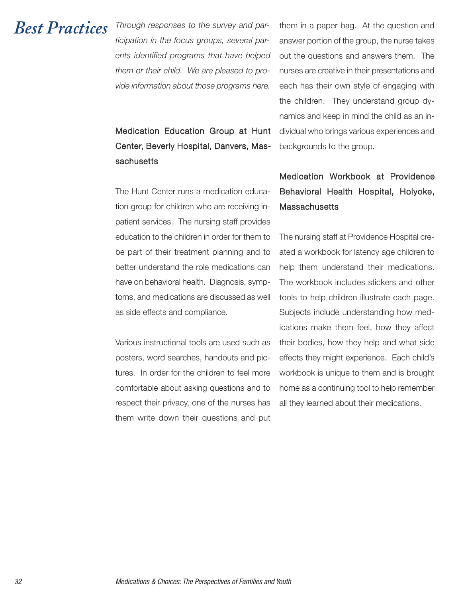### *Best Practices*

*Through responses to the survey and participation in the focus groups, several parents identified programs that have helped them or their child. We are pleased to provide information about those programs here.*

Medication Education Group at Hunt Center, Beverly Hospital, Danvers, Massachusetts

The Hunt Center runs a medication education group for children who are receiving inpatient services. The nursing staff provides education to the children in order for them to be part of their treatment planning and to better understand the role medications can have on behavioral health. Diagnosis, symptoms, and medications are discussed as well as side effects and compliance.

Various instructional tools are used such as posters, word searches, handouts and pictures. In order for the children to feel more comfortable about asking questions and to respect their privacy, one of the nurses has them write down their questions and put

them in a paper bag. At the question and answer portion of the group, the nurse takes out the questions and answers them. The nurses are creative in their presentations and each has their own style of engaging with the children. They understand group dynamics and keep in mind the child as an individual who brings various experiences and backgrounds to the group.

### Medication Workbook at Providence Behavioral Health Hospital, Holyoke, **Massachusetts**

The nursing staff at Providence Hospital created a workbook for latency age children to help them understand their medications. The workbook includes stickers and other tools to help children illustrate each page. Subjects include understanding how medications make them feel, how they affect their bodies, how they help and what side effects they might experience. Each child's workbook is unique to them and is brought home as a continuing tool to help remember all they learned about their medications.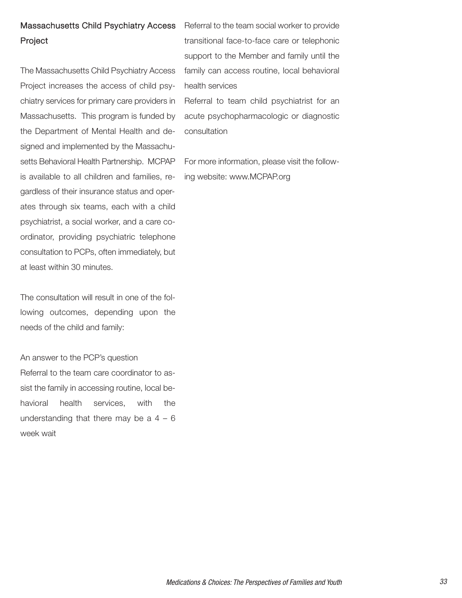### Massachusetts Child Psychiatry Access Project

The Massachusetts Child Psychiatry Access Project increases the access of child psychiatry services for primary care providers in Massachusetts. This program is funded by the Department of Mental Health and designed and implemented by the Massachusetts Behavioral Health Partnership. MCPAP is available to all children and families, regardless of their insurance status and operates through six teams, each with a child psychiatrist, a social worker, and a care coordinator, providing psychiatric telephone consultation to PCPs, often immediately, but at least within 30 minutes.

The consultation will result in one of the following outcomes, depending upon the needs of the child and family:

An answer to the PCP's question Referral to the team care coordinator to assist the family in accessing routine, local behavioral health services, with the understanding that there may be a  $4 - 6$ week wait

Referral to the team social worker to provide transitional face-to-face care or telephonic support to the Member and family until the family can access routine, local behavioral health services

Referral to team child psychiatrist for an acute psychopharmacologic or diagnostic consultation

For more information, please visit the following website: www.MCPAP.org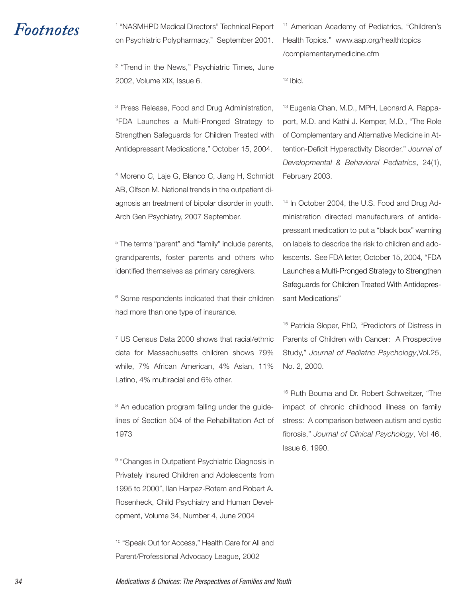*Footnotes* <sup>1</sup> "NASMHPD Medical Directors" Technical Report on Psychiatric Polypharmacy," September 2001.

> <sup>2</sup> "Trend in the News," Psychiatric Times, June 2002, Volume XIX, Issue 6.

> <sup>3</sup> Press Release, Food and Drug Administration, "FDA Launches a Multi-Pronged Strategy to Strengthen Safeguards for Children Treated with Antidepressant Medications," October 15, 2004.

> <sup>4</sup> Moreno C, Laje G, Blanco C, Jiang H, Schmidt AB, Olfson M. National trends in the outpatient diagnosis an treatment of bipolar disorder in youth. Arch Gen Psychiatry, 2007 September.

> <sup>5</sup> The terms "parent" and "family" include parents, grandparents, foster parents and others who identified themselves as primary caregivers.

> <sup>6</sup> Some respondents indicated that their children had more than one type of insurance.

> <sup>7</sup> US Census Data 2000 shows that racial/ethnic data for Massachusetts children shows 79% while, 7% African American, 4% Asian, 11% Latino, 4% multiracial and 6% other.

> <sup>8</sup> An education program falling under the guidelines of Section 504 of the Rehabilitation Act of 1973

> <sup>9</sup> "Changes in Outpatient Psychiatric Diagnosis in Privately Insured Children and Adolescents from 1995 to 2000", Ilan Harpaz-Rotem and Robert A. Rosenheck, Child Psychiatry and Human Development, Volume 34, Number 4, June 2004

> <sup>10</sup> "Speak Out for Access," Health Care for All and Parent/Professional Advocacy League, 2002

<sup>11</sup> American Academy of Pediatrics, "Children's Health Topics." www.aap.org/healthtopics /complementarymedicine.cfm

<sup>12</sup> Ibid.

<sup>13</sup> Eugenia Chan, M.D., MPH, Leonard A. Rappaport, M.D. and Kathi J. Kemper, M.D., "The Role of Complementary and Alternative Medicine in Attention-Deficit Hyperactivity Disorder." *Journal of Developmental & Behavioral Pediatrics*, 24(1), February 2003.

<sup>14</sup> In October 2004, the U.S. Food and Drug Administration directed manufacturers of antidepressant medication to put a "black box" warning on labels to describe the risk to children and adolescents. See FDA letter, October 15, 2004, "FDA Launches a Multi-Pronged Strategy to Strengthen Safeguards for Children Treated With Antidepressant Medications"

<sup>15</sup> Patricia Sloper, PhD, "Predictors of Distress in Parents of Children with Cancer: A Prospective Study," *Journal of Pediatric Psychology*,Vol.25, No. 2, 2000.

<sup>16</sup> Ruth Bouma and Dr. Robert Schweitzer, "The impact of chronic childhood illness on family stress: A comparison between autism and cystic fibrosis," *Journal of Clinical Psychology*, Vol 46, Issue 6, 1990.

34 Medications & Choices: The Perspectives of Families and Youth